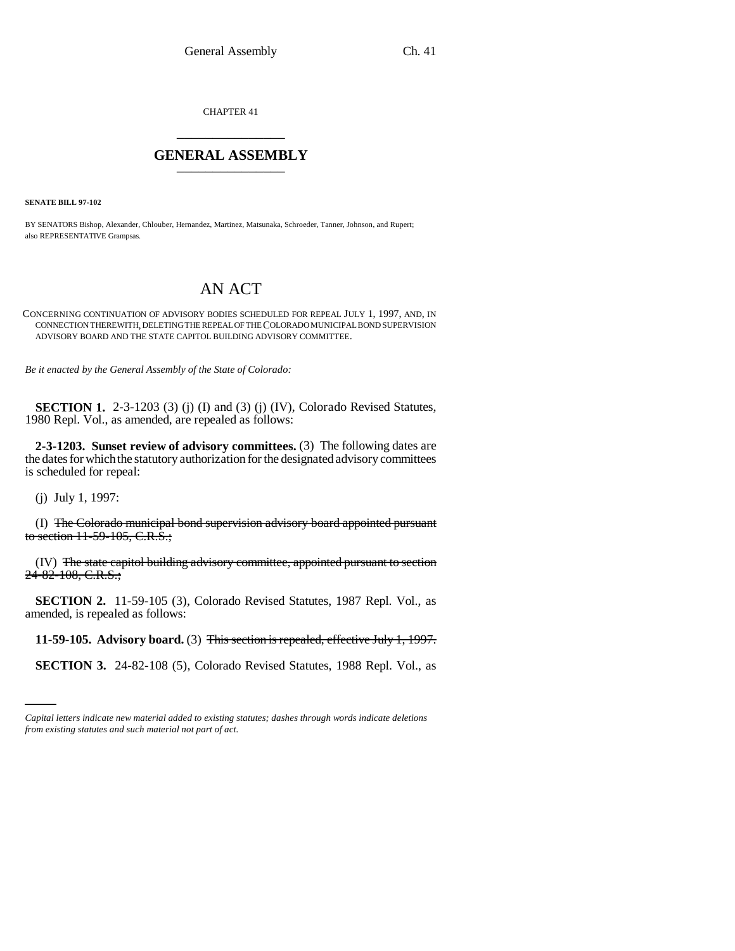CHAPTER 41 \_\_\_\_\_\_\_\_\_\_\_\_\_\_\_

## **GENERAL ASSEMBLY** \_\_\_\_\_\_\_\_\_\_\_\_\_\_\_

**SENATE BILL 97-102**

BY SENATORS Bishop, Alexander, Chlouber, Hernandez, Martinez, Matsunaka, Schroeder, Tanner, Johnson, and Rupert; also REPRESENTATIVE Grampsas.

## AN ACT

## CONCERNING CONTINUATION OF ADVISORY BODIES SCHEDULED FOR REPEAL JULY 1, 1997, AND, IN CONNECTION THEREWITH, DELETING THE REPEAL OF THE COLORADO MUNICIPAL BOND SUPERVISION ADVISORY BOARD AND THE STATE CAPITOL BUILDING ADVISORY COMMITTEE.

*Be it enacted by the General Assembly of the State of Colorado:*

**SECTION 1.** 2-3-1203 (3) (j) (I) and (3) (j) (IV), Colorado Revised Statutes, 1980 Repl. Vol., as amended, are repealed as follows:

**2-3-1203. Sunset review of advisory committees.** (3) The following dates are the dates for which the statutory authorization for the designated advisory committees is scheduled for repeal:

(j) July 1, 1997:

(I) The Colorado municipal bond supervision advisory board appointed pursuant to section  $11-59-105$ , C.R.S.;

(IV) The state capitol building advisory committee, appointed pursuant to section 24-82-108, C.R.S.;

**SECTION 2.** 11-59-105 (3), Colorado Revised Statutes, 1987 Repl. Vol., as amended, is repealed as follows:

 **11-59-105. Advisory board.** (3) This section is repealed, effective July 1, 1997.

**SECTION 3.** 24-82-108 (5), Colorado Revised Statutes, 1988 Repl. Vol., as

*Capital letters indicate new material added to existing statutes; dashes through words indicate deletions from existing statutes and such material not part of act.*